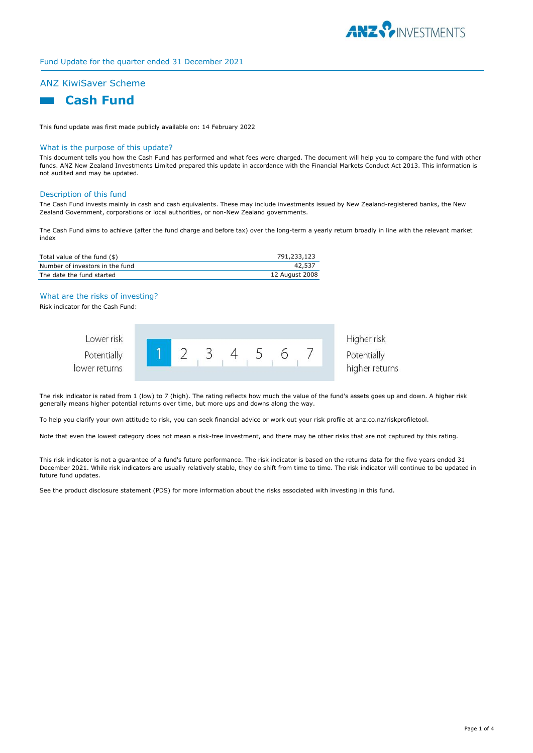

# Fund Update for the quarter ended 31 December 2021

# ANZ KiwiSaver Scheme

# **Cash Fund**

This fund update was first made publicly available on: 14 February 2022

#### What is the purpose of this update?

This document tells you how the Cash Fund has performed and what fees were charged. The document will help you to compare the fund with other funds. ANZ New Zealand Investments Limited prepared this update in accordance with the Financial Markets Conduct Act 2013. This information is not audited and may be updated.

#### Description of this fund

The Cash Fund invests mainly in cash and cash equivalents. These may include investments issued by New Zealand-registered banks, the New Zealand Government, corporations or local authorities, or non-New Zealand governments.

The Cash Fund aims to achieve (after the fund charge and before tax) over the long-term a yearly return broadly in line with the relevant market index

| Total value of the fund (\$)    | 791,233,123    |
|---------------------------------|----------------|
| Number of investors in the fund | 42,537         |
| The date the fund started       | 12 August 2008 |

## What are the risks of investing?

Risk indicator for the Cash Fund:



Higher risk Potentially higher returns

The risk indicator is rated from 1 (low) to 7 (high). The rating reflects how much the value of the fund's assets goes up and down. A higher risk generally means higher potential returns over time, but more ups and downs along the way.

To help you clarify your own attitude to risk, you can seek financial advice or work out your risk profile at anz.co.nz/riskprofiletool.

Note that even the lowest category does not mean a risk-free investment, and there may be other risks that are not captured by this rating.

This risk indicator is not a guarantee of a fund's future performance. The risk indicator is based on the returns data for the five years ended 31 December 2021. While risk indicators are usually relatively stable, they do shift from time to time. The risk indicator will continue to be updated in future fund updates.

See the product disclosure statement (PDS) for more information about the risks associated with investing in this fund.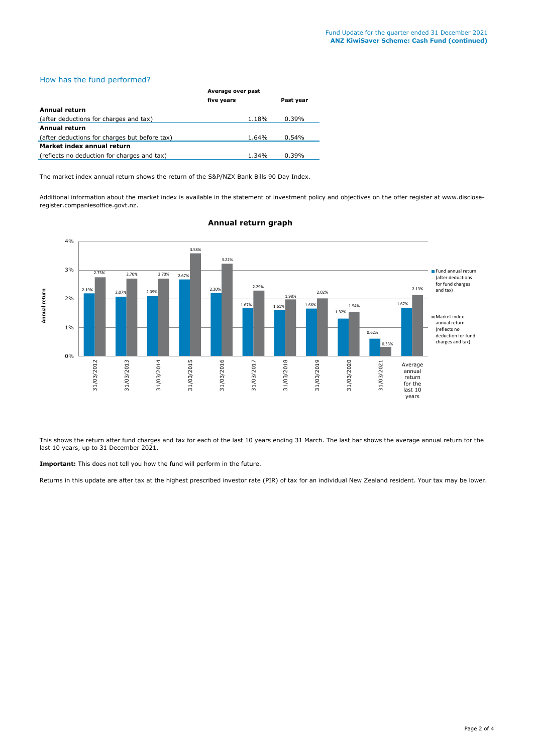# How has the fund performed?

|                                               | Average over past |           |  |
|-----------------------------------------------|-------------------|-----------|--|
|                                               | five years        | Past year |  |
| Annual return                                 |                   |           |  |
| (after deductions for charges and tax)        | 1.18%             | $0.39\%$  |  |
| <b>Annual return</b>                          |                   |           |  |
| (after deductions for charges but before tax) | 1.64%             | $0.54\%$  |  |
| Market index annual return                    |                   |           |  |
| (reflects no deduction for charges and tax)   | 1.34%             | 0.39%     |  |

The market index annual return shows the return of the S&P/NZX Bank Bills 90 Day Index.

Additional information about the market index is available in the statement of investment policy and objectives on the offer register at www.discloseregister.companiesoffice.govt.nz.



# **Annual return graph**

This shows the return after fund charges and tax for each of the last 10 years ending 31 March. The last bar shows the average annual return for the last 10 years, up to 31 December 2021.

**Important:** This does not tell you how the fund will perform in the future.

Returns in this update are after tax at the highest prescribed investor rate (PIR) of tax for an individual New Zealand resident. Your tax may be lower.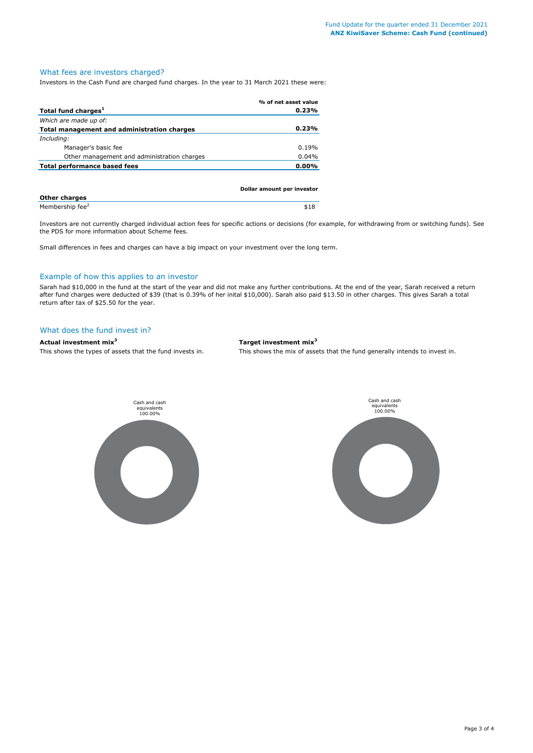# What fees are investors charged?

Investors in the Cash Fund are charged fund charges. In the year to 31 March 2021 these were:

| % of net asset value       |
|----------------------------|
| 0.23%                      |
|                            |
| 0.23%                      |
|                            |
| 0.19%                      |
| 0.04%                      |
| 0.00%                      |
|                            |
| Dollar amount per investor |
|                            |

| <b>Other charges</b>        |      |
|-----------------------------|------|
| Membership fee <sup>2</sup> | \$18 |

Investors are not currently charged individual action fees for specific actions or decisions (for example, for withdrawing from or switching funds). See the PDS for more information about Scheme fees.

Small differences in fees and charges can have a big impact on your investment over the long term.

# Example of how this applies to an investor

Sarah had \$10,000 in the fund at the start of the year and did not make any further contributions. At the end of the year, Sarah received a return after fund charges were deducted of \$39 (that is 0.39% of her inital \$10,000). Sarah also paid \$13.50 in other charges. This gives Sarah a total return after tax of \$25.50 for the year.

### What does the fund invest in?

# **Actual investment mix<sup>3</sup> Target investment mix<sup>3</sup>**

This shows the types of assets that the fund invests in. This shows the mix of assets that the fund generally intends to invest in.